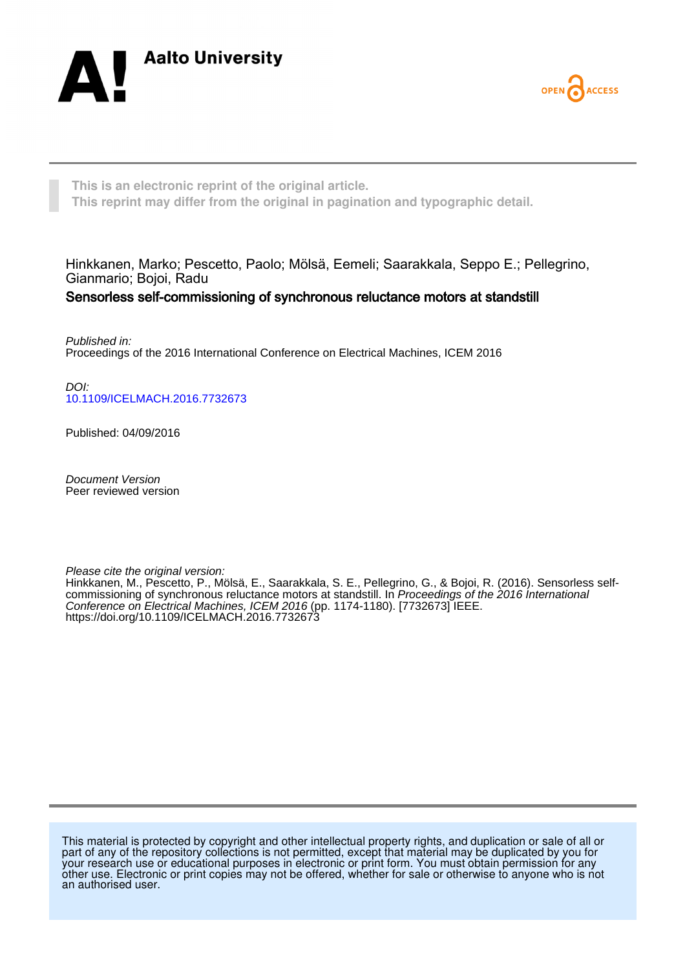



**This is an electronic reprint of the original article. This reprint may differ from the original in pagination and typographic detail.**

Hinkkanen, Marko; Pescetto, Paolo; Mölsä, Eemeli; Saarakkala, Seppo E.; Pellegrino, Gianmario; Bojoi, Radu

# Sensorless self-commissioning of synchronous reluctance motors at standstill

Published in: Proceedings of the 2016 International Conference on Electrical Machines, ICEM 2016

DOI: [10.1109/ICELMACH.2016.7732673](https://doi.org/10.1109/ICELMACH.2016.7732673)

Published: 04/09/2016

Document Version Peer reviewed version

Please cite the original version: Hinkkanen, M., Pescetto, P., Mölsä, E., Saarakkala, S. E., Pellegrino, G., & Bojoi, R. (2016). Sensorless selfcommissioning of synchronous reluctance motors at standstill. In Proceedings of the 2016 International Conference on Electrical Machines, ICEM 2016 (pp. 1174-1180). [7732673] IEEE. <https://doi.org/10.1109/ICELMACH.2016.7732673>

This material is protected by copyright and other intellectual property rights, and duplication or sale of all or part of any of the repository collections is not permitted, except that material may be duplicated by you for your research use or educational purposes in electronic or print form. You must obtain permission for any other use. Electronic or print copies may not be offered, whether for sale or otherwise to anyone who is not an authorised user.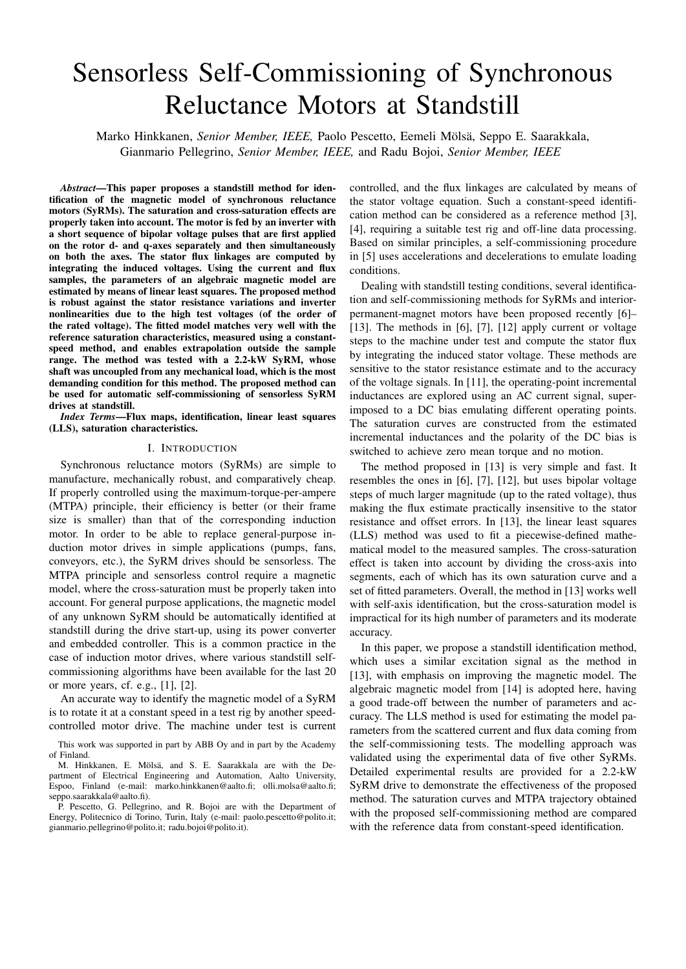# Sensorless Self-Commissioning of Synchronous Reluctance Motors at Standstill

Marko Hinkkanen, *Senior Member, IEEE*, Paolo Pescetto, Eemeli Mölsä, Seppo E. Saarakkala, Gianmario Pellegrino, *Senior Member, IEEE,* and Radu Bojoi, *Senior Member, IEEE*

*Abstract*—This paper proposes a standstill method for identification of the magnetic model of synchronous reluctance motors (SyRMs). The saturation and cross-saturation effects are properly taken into account. The motor is fed by an inverter with a short sequence of bipolar voltage pulses that are first applied on the rotor d- and q-axes separately and then simultaneously on both the axes. The stator flux linkages are computed by integrating the induced voltages. Using the current and flux samples, the parameters of an algebraic magnetic model are estimated by means of linear least squares. The proposed method is robust against the stator resistance variations and inverter nonlinearities due to the high test voltages (of the order of the rated voltage). The fitted model matches very well with the reference saturation characteristics, measured using a constantspeed method, and enables extrapolation outside the sample range. The method was tested with a 2.2-kW SyRM, whose shaft was uncoupled from any mechanical load, which is the most demanding condition for this method. The proposed method can be used for automatic self-commissioning of sensorless SyRM drives at standstill.

*Index Terms*—Flux maps, identification, linear least squares (LLS), saturation characteristics.

#### I. INTRODUCTION

Synchronous reluctance motors (SyRMs) are simple to manufacture, mechanically robust, and comparatively cheap. If properly controlled using the maximum-torque-per-ampere (MTPA) principle, their efficiency is better (or their frame size is smaller) than that of the corresponding induction motor. In order to be able to replace general-purpose induction motor drives in simple applications (pumps, fans, conveyors, etc.), the SyRM drives should be sensorless. The MTPA principle and sensorless control require a magnetic model, where the cross-saturation must be properly taken into account. For general purpose applications, the magnetic model of any unknown SyRM should be automatically identified at standstill during the drive start-up, using its power converter and embedded controller. This is a common practice in the case of induction motor drives, where various standstill selfcommissioning algorithms have been available for the last 20 or more years, cf. e.g., [1], [2].

An accurate way to identify the magnetic model of a SyRM is to rotate it at a constant speed in a test rig by another speedcontrolled motor drive. The machine under test is current

This work was supported in part by ABB Oy and in part by the Academy of Finland.

P. Pescetto, G. Pellegrino, and R. Bojoi are with the Department of Energy, Politecnico di Torino, Turin, Italy (e-mail: paolo.pescetto@polito.it; gianmario.pellegrino@polito.it; radu.bojoi@polito.it).

controlled, and the flux linkages are calculated by means of the stator voltage equation. Such a constant-speed identification method can be considered as a reference method [3], [4], requiring a suitable test rig and off-line data processing. Based on similar principles, a self-commissioning procedure in [5] uses accelerations and decelerations to emulate loading conditions.

Dealing with standstill testing conditions, several identification and self-commissioning methods for SyRMs and interiorpermanent-magnet motors have been proposed recently [6]– [13]. The methods in [6], [7], [12] apply current or voltage steps to the machine under test and compute the stator flux by integrating the induced stator voltage. These methods are sensitive to the stator resistance estimate and to the accuracy of the voltage signals. In [11], the operating-point incremental inductances are explored using an AC current signal, superimposed to a DC bias emulating different operating points. The saturation curves are constructed from the estimated incremental inductances and the polarity of the DC bias is switched to achieve zero mean torque and no motion.

The method proposed in [13] is very simple and fast. It resembles the ones in [6], [7], [12], but uses bipolar voltage steps of much larger magnitude (up to the rated voltage), thus making the flux estimate practically insensitive to the stator resistance and offset errors. In [13], the linear least squares (LLS) method was used to fit a piecewise-defined mathematical model to the measured samples. The cross-saturation effect is taken into account by dividing the cross-axis into segments, each of which has its own saturation curve and a set of fitted parameters. Overall, the method in [13] works well with self-axis identification, but the cross-saturation model is impractical for its high number of parameters and its moderate accuracy.

In this paper, we propose a standstill identification method, which uses a similar excitation signal as the method in [13], with emphasis on improving the magnetic model. The algebraic magnetic model from [14] is adopted here, having a good trade-off between the number of parameters and accuracy. The LLS method is used for estimating the model parameters from the scattered current and flux data coming from the self-commissioning tests. The modelling approach was validated using the experimental data of five other SyRMs. Detailed experimental results are provided for a 2.2-kW SyRM drive to demonstrate the effectiveness of the proposed method. The saturation curves and MTPA trajectory obtained with the proposed self-commissioning method are compared with the reference data from constant-speed identification.

M. Hinkkanen, E. Mölsä, and S. E. Saarakkala are with the Department of Electrical Engineering and Automation, Aalto University, Espoo, Finland (e-mail: marko.hinkkanen@aalto.fi; olli.molsa@aalto.fi; seppo.saarakkala@aalto.fi).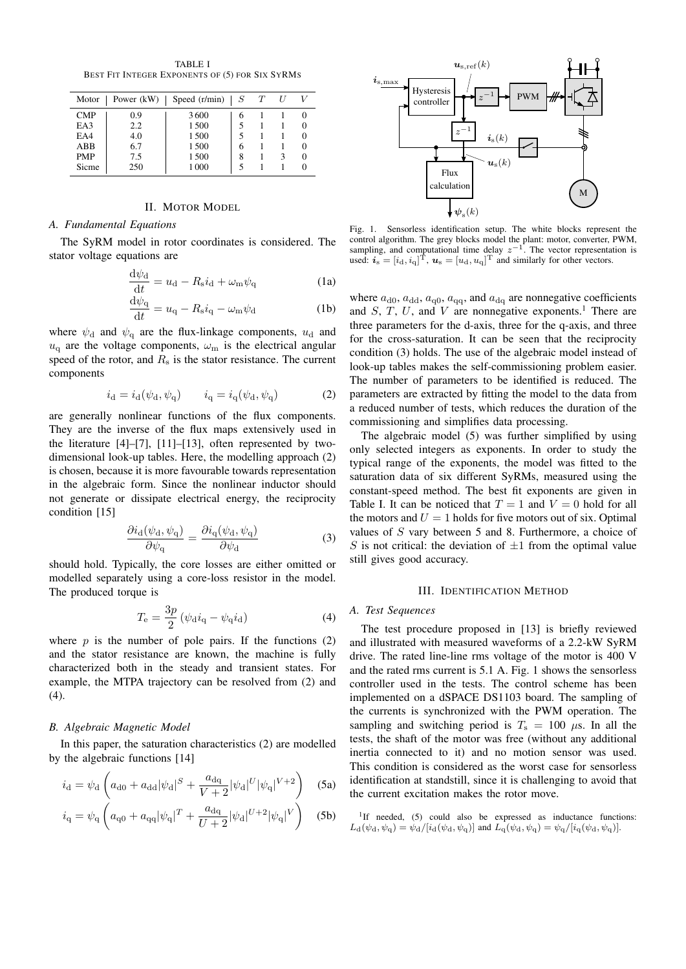TABLE I BEST FIT INTEGER EXPONENTS OF (5) FOR SIX SYRMS

| Motor      | Power $(kW)$ | Speed (r/min) | S | T |   |                   |
|------------|--------------|---------------|---|---|---|-------------------|
| <b>CMP</b> | 0.9          | 3600          | 6 |   |   |                   |
| EA3        | 2.2          | 1500          | 5 |   |   |                   |
| EA4        | 4.0          | 1500          |   |   |   | $\mathbf{\Omega}$ |
| ABB        | 6.7          | 1500          | 6 |   |   |                   |
| <b>PMP</b> | 7.5          | 1500          | 8 |   | ٩ |                   |
| Sicme      | 250          | 1 0 0 0       |   |   |   |                   |

## II. MOTOR MODEL

### *A. Fundamental Equations*

The SyRM model in rotor coordinates is considered. The stator voltage equations are

$$
\frac{\mathrm{d}\psi_{\mathrm{d}}}{\mathrm{d}t} = u_{\mathrm{d}} - R_{\mathrm{s}}i_{\mathrm{d}} + \omega_{\mathrm{m}}\psi_{\mathrm{q}} \tag{1a}
$$

$$
\frac{\mathrm{d}\psi_{\mathbf{q}}}{\mathrm{d}t} = u_{\mathbf{q}} - R_{\mathbf{s}}i_{\mathbf{q}} - \omega_{\mathbf{m}}\psi_{\mathbf{d}} \tag{1b}
$$

where  $\psi_d$  and  $\psi_q$  are the flux-linkage components,  $u_d$  and  $u_{\rm q}$  are the voltage components,  $\omega_{\rm m}$  is the electrical angular speed of the rotor, and  $R<sub>s</sub>$  is the stator resistance. The current components

$$
i_{\rm d} = i_{\rm d}(\psi_{\rm d}, \psi_{\rm q})
$$
  $i_{\rm q} = i_{\rm q}(\psi_{\rm d}, \psi_{\rm q})$  (2)

are generally nonlinear functions of the flux components. They are the inverse of the flux maps extensively used in the literature [4]–[7], [11]–[13], often represented by twodimensional look-up tables. Here, the modelling approach (2) is chosen, because it is more favourable towards representation in the algebraic form. Since the nonlinear inductor should not generate or dissipate electrical energy, the reciprocity condition [15]

$$
\frac{\partial i_{\rm d}(\psi_{\rm d}, \psi_{\rm q})}{\partial \psi_{\rm q}} = \frac{\partial i_{\rm q}(\psi_{\rm d}, \psi_{\rm q})}{\partial \psi_{\rm d}}\tag{3}
$$

should hold. Typically, the core losses are either omitted or modelled separately using a core-loss resistor in the model. The produced torque is

$$
T_{\rm e} = \frac{3p}{2} \left( \psi_{\rm d} i_{\rm q} - \psi_{\rm q} i_{\rm d} \right) \tag{4}
$$

where  $p$  is the number of pole pairs. If the functions  $(2)$ and the stator resistance are known, the machine is fully characterized both in the steady and transient states. For example, the MTPA trajectory can be resolved from (2) and (4).

#### *B. Algebraic Magnetic Model*

In this paper, the saturation characteristics (2) are modelled by the algebraic functions [14]

$$
i_{\rm d} = \psi_{\rm d} \left( a_{\rm d0} + a_{\rm dd} |\psi_{\rm d}|^S + \frac{a_{\rm dq}}{V + 2} |\psi_{\rm d}|^U |\psi_{\rm q}|^{V + 2} \right) \quad (5a)
$$

$$
i_{\mathbf{q}} = \psi_{\mathbf{q}} \left( a_{\mathbf{q}0} + a_{\mathbf{q}\mathbf{q}} |\psi_{\mathbf{q}}|^T + \frac{a_{\mathbf{dq}}}{U + 2} |\psi_{\mathbf{d}}|^{U + 2} |\psi_{\mathbf{q}}|^V \right) \quad (5b)
$$



Fig. 1. Sensorless identification setup. The white blocks represent the control algorithm. The grey blocks model the plant: motor, converter, PWM, sampling, and computational time delay  $z^{-1}$ . The vector representation is used:  $\boldsymbol{i}_s = [i_d, i_q]^T$ ,  $\boldsymbol{u}_s = [u_d, u_q]^T$  and similarly for other vectors.

where  $a_{d0}$ ,  $a_{dd}$ ,  $a_{q0}$ ,  $a_{qq}$ , and  $a_{dq}$  are nonnegative coefficients and  $S$ ,  $T$ ,  $U$ , and  $V$  are nonnegative exponents.<sup>1</sup> There are three parameters for the d-axis, three for the q-axis, and three for the cross-saturation. It can be seen that the reciprocity condition (3) holds. The use of the algebraic model instead of look-up tables makes the self-commissioning problem easier. The number of parameters to be identified is reduced. The parameters are extracted by fitting the model to the data from a reduced number of tests, which reduces the duration of the commissioning and simplifies data processing.

The algebraic model (5) was further simplified by using only selected integers as exponents. In order to study the typical range of the exponents, the model was fitted to the saturation data of six different SyRMs, measured using the constant-speed method. The best fit exponents are given in Table I. It can be noticed that  $T = 1$  and  $V = 0$  hold for all the motors and  $U = 1$  holds for five motors out of six. Optimal values of S vary between 5 and 8. Furthermore, a choice of S is not critical: the deviation of  $\pm 1$  from the optimal value still gives good accuracy.

#### III. IDENTIFICATION METHOD

#### *A. Test Sequences*

The test procedure proposed in [13] is briefly reviewed and illustrated with measured waveforms of a 2.2-kW SyRM drive. The rated line-line rms voltage of the motor is 400 V and the rated rms current is 5.1 A. Fig. 1 shows the sensorless controller used in the tests. The control scheme has been implemented on a dSPACE DS1103 board. The sampling of the currents is synchronized with the PWM operation. The sampling and switching period is  $T_s = 100 \mu s$ . In all the tests, the shaft of the motor was free (without any additional inertia connected to it) and no motion sensor was used. This condition is considered as the worst case for sensorless identification at standstill, since it is challenging to avoid that the current excitation makes the rotor move.

<sup>1</sup>If needed, (5) could also be expressed as inductance functions:  $L_d(\psi_d, \psi_q) = \psi_d/[\dot{i}_d(\psi_d, \psi_q)]$  and  $L_q(\psi_d, \psi_q) = \psi_q/[\dot{i}_q(\psi_d, \psi_q)]$ .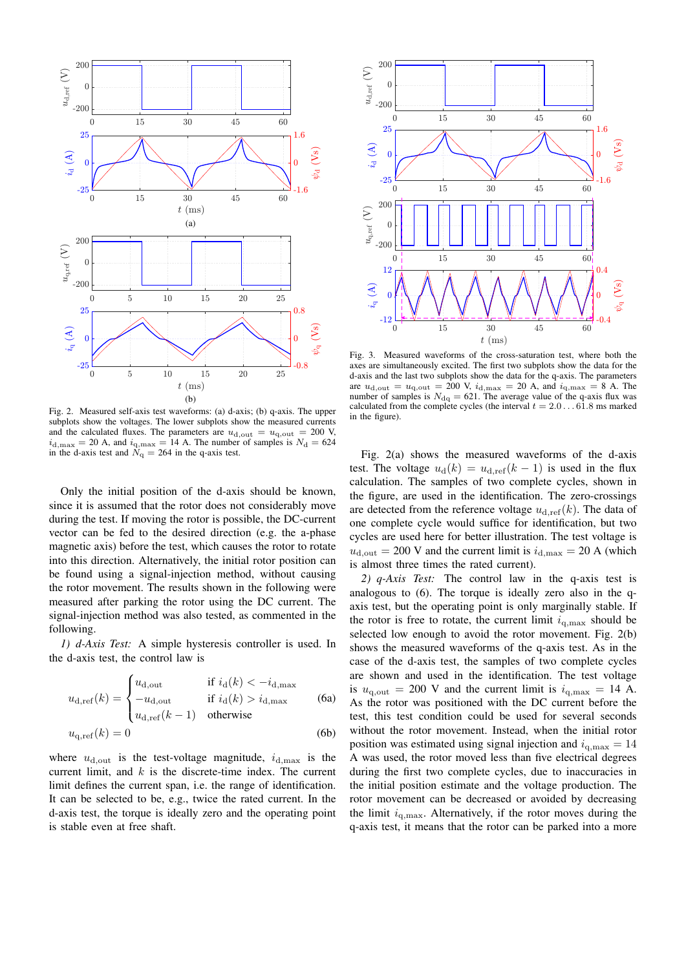

Fig. 2. Measured self-axis test waveforms: (a) d-axis; (b) q-axis. The upper subplots show the voltages. The lower subplots show the measured currents and the calculated fluxes. The parameters are  $u_{d,out} = u_{q,out} = 200$  V,  $i_{\rm d,max} = 20$  A, and  $i_{\rm q,max} = 14$  A. The number of samples is  $N_{\rm d} = 624$ in the d-axis test and  $N_{\rm q} = 264$  in the q-axis test.

Only the initial position of the d-axis should be known, since it is assumed that the rotor does not considerably move during the test. If moving the rotor is possible, the DC-current vector can be fed to the desired direction (e.g. the a-phase magnetic axis) before the test, which causes the rotor to rotate into this direction. Alternatively, the initial rotor position can be found using a signal-injection method, without causing the rotor movement. The results shown in the following were measured after parking the rotor using the DC current. The signal-injection method was also tested, as commented in the following.

*1) d-Axis Test:* A simple hysteresis controller is used. In the d-axis test, the control law is

$$
u_{\rm d,ref}(k) = \begin{cases} u_{\rm d,out} & \text{if } i_{\rm d}(k) < -i_{\rm d,max} \\ -u_{\rm d,out} & \text{if } i_{\rm d}(k) > i_{\rm d,max} \\ u_{\rm d,ref}(k-1) & \text{otherwise} \end{cases} \tag{6a}
$$

$$
u_{q,ref}(k) = 0 \tag{6b}
$$

where  $u_{d,out}$  is the test-voltage magnitude,  $i_{d,max}$  is the current limit, and  $k$  is the discrete-time index. The current limit defines the current span, i.e. the range of identification. It can be selected to be, e.g., twice the rated current. In the d-axis test, the torque is ideally zero and the operating point is stable even at free shaft.



Fig. 3. Measured waveforms of the cross-saturation test, where both the axes are simultaneously excited. The first two subplots show the data for the d-axis and the last two subplots show the data for the q-axis. The parameters are  $u_{\rm d,out} = u_{\rm q,out} = 200$  V,  $i_{\rm d,max} = 20$  A, and  $i_{\rm q,max} = 8$  A. The number of samples is  $N_{\text{dq}} = 621$ . The average value of the q-axis flux was calculated from the complete cycles (the interval  $t = 2.0 \dots 61.8$  ms marked in the figure).

Fig. 2(a) shows the measured waveforms of the d-axis test. The voltage  $u_d(k) = u_{d,ref}(k-1)$  is used in the flux calculation. The samples of two complete cycles, shown in the figure, are used in the identification. The zero-crossings are detected from the reference voltage  $u_{d,ref}(k)$ . The data of one complete cycle would suffice for identification, but two cycles are used here for better illustration. The test voltage is  $u_{\text{d,out}} = 200$  V and the current limit is  $i_{\text{d,max}} = 20$  A (which is almost three times the rated current).

*2) q-Axis Test:* The control law in the q-axis test is analogous to (6). The torque is ideally zero also in the qaxis test, but the operating point is only marginally stable. If the rotor is free to rotate, the current limit  $i_{q,\text{max}}$  should be selected low enough to avoid the rotor movement. Fig. 2(b) shows the measured waveforms of the q-axis test. As in the case of the d-axis test, the samples of two complete cycles are shown and used in the identification. The test voltage is  $u_{q, \text{out}} = 200$  V and the current limit is  $i_{q, \text{max}} = 14$  A. As the rotor was positioned with the DC current before the test, this test condition could be used for several seconds without the rotor movement. Instead, when the initial rotor position was estimated using signal injection and  $i_{q,\text{max}} = 14$ A was used, the rotor moved less than five electrical degrees during the first two complete cycles, due to inaccuracies in the initial position estimate and the voltage production. The rotor movement can be decreased or avoided by decreasing the limit  $i_{\text{q,max}}$ . Alternatively, if the rotor moves during the q-axis test, it means that the rotor can be parked into a more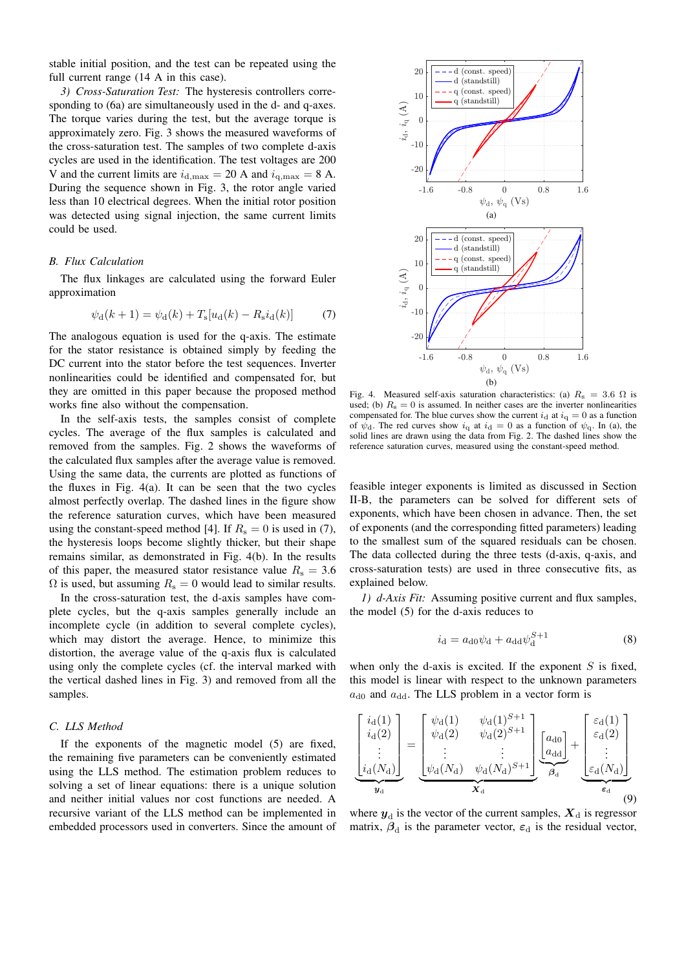stable initial position, and the test can be repeated using the full current range (14 A in this case).

*3) Cross-Saturation Test:* The hysteresis controllers corresponding to (6a) are simultaneously used in the d- and q-axes. The torque varies during the test, but the average torque is approximately zero. Fig. 3 shows the measured waveforms of the cross-saturation test. The samples of two complete d-axis cycles are used in the identification. The test voltages are 200 V and the current limits are  $i_{\rm d,max} = 20$  A and  $i_{\rm q,max} = 8$  A. During the sequence shown in Fig. 3, the rotor angle varied less than 10 electrical degrees. When the initial rotor position was detected using signal injection, the same current limits could be used.

#### *B. Flux Calculation*

The flux linkages are calculated using the forward Euler approximation

$$
\psi_{\rm d}(k+1) = \psi_{\rm d}(k) + T_{\rm s}[u_{\rm d}(k) - R_{\rm s}i_{\rm d}(k)] \tag{7}
$$

The analogous equation is used for the q-axis. The estimate for the stator resistance is obtained simply by feeding the DC current into the stator before the test sequences. Inverter nonlinearities could be identified and compensated for, but they are omitted in this paper because the proposed method works fine also without the compensation.

In the self-axis tests, the samples consist of complete cycles. The average of the flux samples is calculated and removed from the samples. Fig. 2 shows the waveforms of the calculated flux samples after the average value is removed. Using the same data, the currents are plotted as functions of the fluxes in Fig. 4(a). It can be seen that the two cycles almost perfectly overlap. The dashed lines in the figure show the reference saturation curves, which have been measured using the constant-speed method [4]. If  $R_s = 0$  is used in (7), the hysteresis loops become slightly thicker, but their shape remains similar, as demonstrated in Fig. 4(b). In the results of this paper, the measured stator resistance value  $R_s = 3.6$  $\Omega$  is used, but assuming  $R_s = 0$  would lead to similar results.

In the cross-saturation test, the d-axis samples have complete cycles, but the q-axis samples generally include an incomplete cycle (in addition to several complete cycles), which may distort the average. Hence, to minimize this distortion, the average value of the q-axis flux is calculated using only the complete cycles (cf. the interval marked with the vertical dashed lines in Fig. 3) and removed from all the samples.

#### *C. LLS Method*

If the exponents of the magnetic model (5) are fixed, the remaining five parameters can be conveniently estimated using the LLS method. The estimation problem reduces to solving a set of linear equations: there is a unique solution and neither initial values nor cost functions are needed. A recursive variant of the LLS method can be implemented in embedded processors used in converters. Since the amount of



Fig. 4. Measured self-axis saturation characteristics: (a)  $R_s = 3.6 \Omega$  is used; (b)  $R_s = 0$  is assumed. In neither cases are the inverter nonlinearities compensated for. The blue curves show the current  $i_d$  at  $i_q = 0$  as a function of  $\psi_d$ . The red curves show  $i_q$  at  $i_d = 0$  as a function of  $\psi_q$ . In (a), the solid lines are drawn using the data from Fig. 2. The dashed lines show the reference saturation curves, measured using the constant-speed method.

feasible integer exponents is limited as discussed in Section II-B, the parameters can be solved for different sets of exponents, which have been chosen in advance. Then, the set of exponents (and the corresponding fitted parameters) leading to the smallest sum of the squared residuals can be chosen. The data collected during the three tests (d-axis, q-axis, and cross-saturation tests) are used in three consecutive fits, as explained below.

*1) d-Axis Fit:* Assuming positive current and flux samples, the model (5) for the d-axis reduces to

$$
i_{\mathbf{d}} = a_{\mathbf{d}0}\psi_{\mathbf{d}} + a_{\mathbf{d}\mathbf{d}}\psi_{\mathbf{d}}^{S+1}
$$
 (8)

when only the d-axis is excited. If the exponent  $S$  is fixed, this model is linear with respect to the unknown parameters  $a_{\rm d0}$  and  $a_{\rm dd}$ . The LLS problem in a vector form is

$$
\underbrace{\begin{bmatrix} i_{\mathrm{d}}(1) \\ i_{\mathrm{d}}(2) \\ \vdots \\ i_{\mathrm{d}}(N_{\mathrm{d}}) \end{bmatrix}}_{\mathbf{y}_{\mathrm{d}}} = \underbrace{\begin{bmatrix} \psi_{\mathrm{d}}(1) & \psi_{\mathrm{d}}(1)^{S+1} \\ \psi_{\mathrm{d}}(2) & \psi_{\mathrm{d}}(2)^{S+1} \\ \vdots & \vdots \\ \psi_{\mathrm{d}}(N_{\mathrm{d}}) & \psi_{\mathrm{d}}(N_{\mathrm{d}})^{S+1} \end{bmatrix}}_{\mathbf{X}_{\mathrm{d}}} \underbrace{\begin{bmatrix} a_{\mathrm{d}0} \\ a_{\mathrm{d}0} \end{bmatrix}}_{\mathbf{\beta}_{\mathrm{d}}} + \underbrace{\begin{bmatrix} \varepsilon_{\mathrm{d}}(1) \\ \varepsilon_{\mathrm{d}}(2) \\ \vdots \\ \varepsilon_{\mathrm{d}}(N_{\mathrm{d}}) \end{bmatrix}}_{\varepsilon_{\mathrm{d}}}
$$

where  $y_d$  is the vector of the current samples,  $X_d$  is regressor matrix,  $\beta_d$  is the parameter vector,  $\varepsilon_d$  is the residual vector,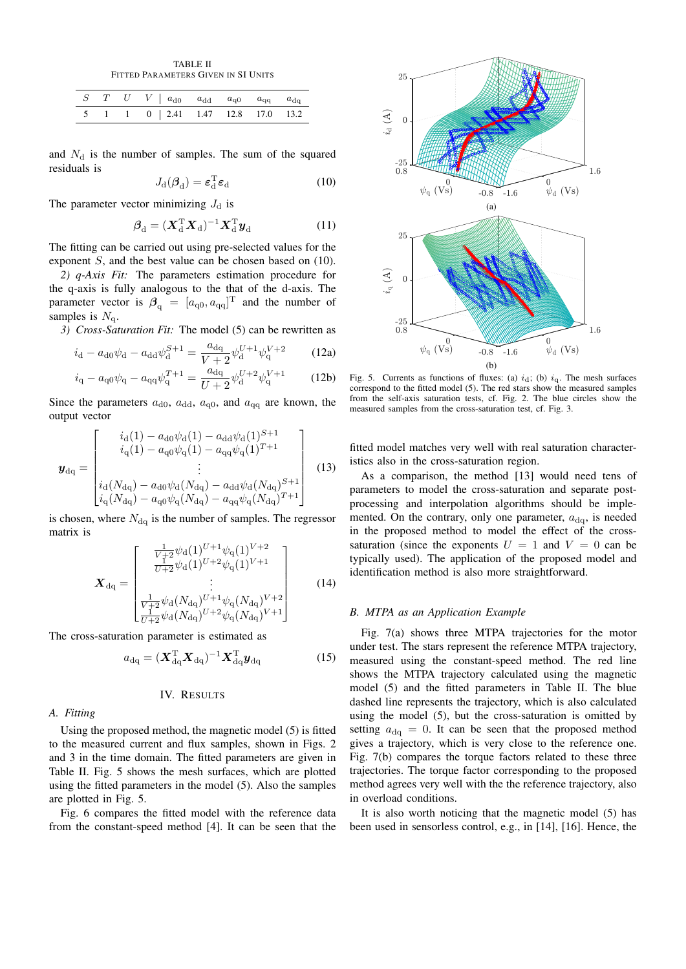TABLE II FITTED PARAMETERS GIVEN IN SI UNITS

|  | $S$ T U V   $a_{\text{d0}}$ $a_{\text{dd}}$ $a_{\text{q0}}$ $a_{\text{qq}}$ $a_{\text{dq}}$ |  |  |
|--|---------------------------------------------------------------------------------------------|--|--|
|  | 5 1 1 0 2.41 1.47 12.8 17.0 13.2                                                            |  |  |

and  $N_d$  is the number of samples. The sum of the squared residuals is

$$
J_{\rm d}(\boldsymbol{\beta}_{\rm d}) = \boldsymbol{\varepsilon}_{\rm d}^{\rm T} \boldsymbol{\varepsilon}_{\rm d} \tag{10}
$$

The parameter vector minimizing  $J_d$  is

$$
\boldsymbol{\beta}_{\mathbf{d}} = (\boldsymbol{X}_{\mathbf{d}}^{\mathrm{T}} \boldsymbol{X}_{\mathbf{d}})^{-1} \boldsymbol{X}_{\mathbf{d}}^{\mathrm{T}} \boldsymbol{y}_{\mathbf{d}} \tag{11}
$$

The fitting can be carried out using pre-selected values for the exponent S, and the best value can be chosen based on (10).

*2) q-Axis Fit:* The parameters estimation procedure for the q-axis is fully analogous to the that of the d-axis. The parameter vector is  $\beta_{\rm q} = [a_{\rm q0}, a_{\rm qq}]^{\rm T}$  and the number of samples is  $N_{q}$ .

*3) Cross-Saturation Fit:* The model (5) can be rewritten as

$$
i_{\rm d} - a_{\rm d0}\psi_{\rm d} - a_{\rm dd}\psi_{\rm d}^{S+1} = \frac{a_{\rm dq}}{V + 2}\psi_{\rm d}^{U+1}\psi_{\rm q}^{V+2}
$$
 (12a)

$$
i_{\mathbf{q}} - a_{\mathbf{q}0} \psi_{\mathbf{q}} - a_{\mathbf{q}q} \psi_{\mathbf{q}}^{T+1} = \frac{a_{\mathbf{dq}}}{U + 2} \psi_{\mathbf{d}}^{U+2} \psi_{\mathbf{q}}^{V+1}
$$
 (12b)

Since the parameters  $a_{d0}$ ,  $a_{dd}$ ,  $a_{q0}$ , and  $a_{qq}$  are known, the output vector

$$
\mathbf{y}_{\mathrm{dq}} = \begin{bmatrix} i_{\mathrm{d}}(1) - a_{\mathrm{d}0}\psi_{\mathrm{d}}(1) - a_{\mathrm{dd}}\psi_{\mathrm{d}}(1)^{S+1} \\ i_{\mathrm{q}}(1) - a_{\mathrm{q}0}\psi_{\mathrm{q}}(1) - a_{\mathrm{qq}}\psi_{\mathrm{q}}(1)^{T+1} \\ \vdots \\ i_{\mathrm{d}}(N_{\mathrm{dq}}) - a_{\mathrm{d}0}\psi_{\mathrm{d}}(N_{\mathrm{dq}}) - a_{\mathrm{dd}}\psi_{\mathrm{d}}(N_{\mathrm{dq}})^{S+1} \\ i_{\mathrm{q}}(N_{\mathrm{dq}}) - a_{\mathrm{q}0}\psi_{\mathrm{q}}(N_{\mathrm{dq}}) - a_{\mathrm{qq}}\psi_{\mathrm{q}}(N_{\mathrm{dq}})^{T+1} \end{bmatrix} \tag{13}
$$

is chosen, where  $N_{\text{dq}}$  is the number of samples. The regressor matrix is

$$
\mathbf{X}_{\rm dq} = \begin{bmatrix} \frac{\frac{1}{V+2} \psi_{\rm d}(1)^{U+1} \psi_{\rm q}(1)^{V+2}}{\frac{1}{U+2} \psi_{\rm d}(1)^{U+2} \psi_{\rm q}(1)^{V+1}} \\ \vdots \\ \frac{1}{\frac{1}{V+2} \psi_{\rm d}(N_{\rm dq})^{U+1} \psi_{\rm q}(N_{\rm dq})^{V+2}} \end{bmatrix}
$$
(14)

The cross-saturation parameter is estimated as

$$
a_{\rm dq} = (\boldsymbol{X}_{\rm dq}^{\rm T} \boldsymbol{X}_{\rm dq})^{-1} \boldsymbol{X}_{\rm dq}^{\rm T} \boldsymbol{y}_{\rm dq}
$$
 (15)

#### IV. RESULTS

#### *A. Fitting*

Using the proposed method, the magnetic model (5) is fitted to the measured current and flux samples, shown in Figs. 2 and 3 in the time domain. The fitted parameters are given in Table II. Fig. 5 shows the mesh surfaces, which are plotted using the fitted parameters in the model (5). Also the samples are plotted in Fig. 5.

Fig. 6 compares the fitted model with the reference data from the constant-speed method [4]. It can be seen that the



Fig. 5. Currents as functions of fluxes: (a)  $i_d$ ; (b)  $i_q$ . The mesh surfaces correspond to the fitted model (5). The red stars show the measured samples from the self-axis saturation tests, cf. Fig. 2. The blue circles show the measured samples from the cross-saturation test, cf. Fig. 3.

fitted model matches very well with real saturation characteristics also in the cross-saturation region.

As a comparison, the method [13] would need tens of parameters to model the cross-saturation and separate postprocessing and interpolation algorithms should be implemented. On the contrary, only one parameter,  $a_{\text{dq}}$ , is needed in the proposed method to model the effect of the crosssaturation (since the exponents  $U = 1$  and  $V = 0$  can be typically used). The application of the proposed model and identification method is also more straightforward.

#### *B. MTPA as an Application Example*

Fig. 7(a) shows three MTPA trajectories for the motor under test. The stars represent the reference MTPA trajectory, measured using the constant-speed method. The red line shows the MTPA trajectory calculated using the magnetic model (5) and the fitted parameters in Table II. The blue dashed line represents the trajectory, which is also calculated using the model (5), but the cross-saturation is omitted by setting  $a_{dq} = 0$ . It can be seen that the proposed method gives a trajectory, which is very close to the reference one. Fig. 7(b) compares the torque factors related to these three trajectories. The torque factor corresponding to the proposed method agrees very well with the the reference trajectory, also in overload conditions.

It is also worth noticing that the magnetic model (5) has been used in sensorless control, e.g., in [14], [16]. Hence, the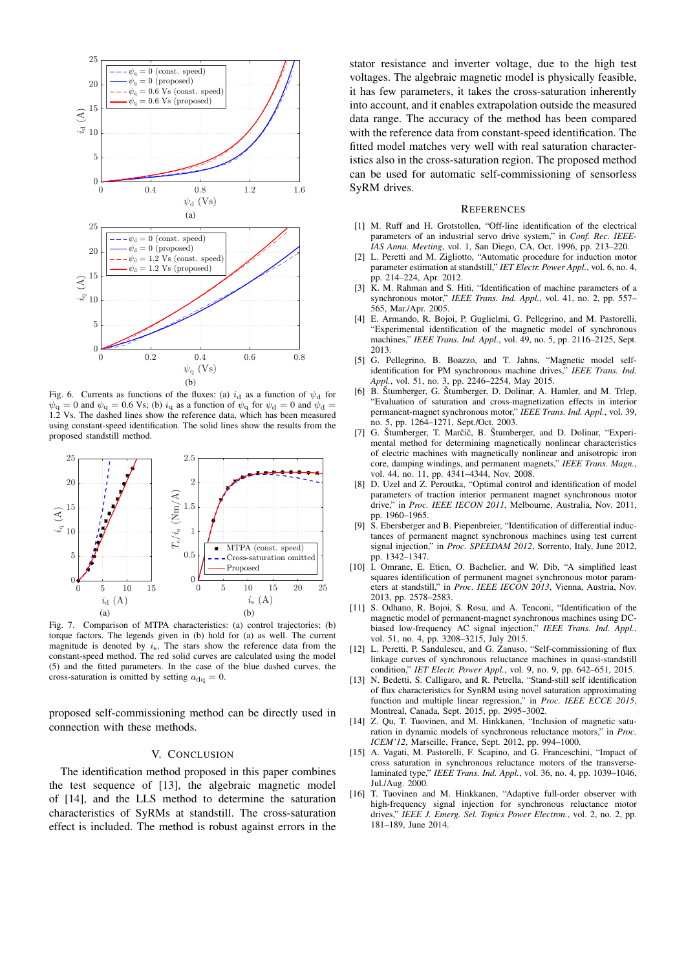

Fig. 6. Currents as functions of the fluxes: (a)  $i_d$  as a function of  $\psi_d$  for  $\psi_{\rm q} = 0$  and  $\psi_{\rm q} = 0.6$  Vs; (b)  $i_{\rm q}$  as a function of  $\psi_{\rm q}$  for  $\psi_{\rm d} = 0$  and  $\psi_{\rm d} =$ 1.2 Vs. The dashed lines show the reference data, which has been measured using constant-speed identification. The solid lines show the results from the proposed standstill method.



Fig. 7. Comparison of MTPA characteristics: (a) control trajectories; (b) torque factors. The legends given in (b) hold for (a) as well. The current magnitude is denoted by  $i_s$ . The stars show the reference data from the constant-speed method. The red solid curves are calculated using the model (5) and the fitted parameters. In the case of the blue dashed curves, the cross-saturation is omitted by setting  $a_{dq} = 0$ .

proposed self-commissioning method can be directly used in connection with these methods.

#### V. CONCLUSION

The identification method proposed in this paper combines the test sequence of [13], the algebraic magnetic model of [14], and the LLS method to determine the saturation characteristics of SyRMs at standstill. The cross-saturation effect is included. The method is robust against errors in the

stator resistance and inverter voltage, due to the high test voltages. The algebraic magnetic model is physically feasible, it has few parameters, it takes the cross-saturation inherently into account, and it enables extrapolation outside the measured data range. The accuracy of the method has been compared with the reference data from constant-speed identification. The fitted model matches very well with real saturation characteristics also in the cross-saturation region. The proposed method can be used for automatic self-commissioning of sensorless SyRM drives.

#### **REFERENCES**

- [1] M. Ruff and H. Grotstollen, "Off-line identification of the electrical parameters of an industrial servo drive system," in *Conf. Rec. IEEE-IAS Annu. Meeting*, vol. 1, San Diego, CA, Oct. 1996, pp. 213–220.
- [2] L. Peretti and M. Zigliotto, "Automatic procedure for induction motor parameter estimation at standstill," *IET Electr. Power Appl.*, vol. 6, no. 4, pp. 214–224, Apr. 2012.
- [3] K. M. Rahman and S. Hiti, "Identification of machine parameters of a synchronous motor," *IEEE Trans. Ind. Appl.*, vol. 41, no. 2, pp. 557– 565, Mar./Apr. 2005.
- [4] E. Armando, R. Bojoi, P. Guglielmi, G. Pellegrino, and M. Pastorelli, "Experimental identification of the magnetic model of synchronous machines," *IEEE Trans. Ind. Appl.*, vol. 49, no. 5, pp. 2116–2125, Sept. 2013.
- [5] G. Pellegrino, B. Boazzo, and T. Jahns, "Magnetic model selfidentification for PM synchronous machine drives," *IEEE Trans. Ind. Appl.*, vol. 51, no. 3, pp. 2246–2254, May 2015.
- [6] B. Štumberger, G. Štumberger, D. Dolinar, A. Hamler, and M. Trlep, "Evaluation of saturation and cross-magnetization effects in interior permanent-magnet synchronous motor," *IEEE Trans. Ind. Appl.*, vol. 39, no. 5, pp. 1264–1271, Sept./Oct. 2003.
- [7] G. Štumberger, T. Marčič, B. Štumberger, and D. Dolinar, "Experimental method for determining magnetically nonlinear characteristics of electric machines with magnetically nonlinear and anisotropic iron core, damping windings, and permanent magnets," *IEEE Trans. Magn.*, vol. 44, no. 11, pp. 4341–4344, Nov. 2008.
- [8] D. Uzel and Z. Peroutka, "Optimal control and identification of model parameters of traction interior permanent magnet synchronous motor drive," in *Proc. IEEE IECON 2011*, Melbourne, Australia, Nov. 2011, pp. 1960–1965.
- [9] S. Ebersberger and B. Piepenbreier, "Identification of differential inductances of permanent magnet synchronous machines using test current signal injection," in *Proc. SPEEDAM 2012*, Sorrento, Italy, June 2012, pp. 1342–1347.
- [10] I. Omrane, E. Etien, O. Bachelier, and W. Dib, "A simplified least squares identification of permanent magnet synchronous motor parameters at standstill," in *Proc. IEEE IECON 2013*, Vienna, Austria, Nov. 2013, pp. 2578–2583.
- [11] S. Odhano, R. Bojoi, S. Rosu, and A. Tenconi, "Identification of the magnetic model of permanent-magnet synchronous machines using DCbiased low-frequency AC signal injection," *IEEE Trans. Ind. Appl.*, vol. 51, no. 4, pp. 3208–3215, July 2015.
- [12] L. Peretti, P. Sandulescu, and G. Zanuso, "Self-commissioning of flux linkage curves of synchronous reluctance machines in quasi-standstill condition," *IET Electr. Power Appl.*, vol. 9, no. 9, pp. 642–651, 2015.
- [13] N. Bedetti, S. Calligaro, and R. Petrella, "Stand-still self identification of flux characteristics for SynRM using novel saturation approximating function and multiple linear regression," in *Proc. IEEE ECCE 2015*, Montreal, Canada, Sept. 2015, pp. 2995–3002.
- [14] Z. Qu, T. Tuovinen, and M. Hinkkanen, "Inclusion of magnetic saturation in dynamic models of synchronous reluctance motors," in *Proc. ICEM'12*, Marseille, France, Sept. 2012, pp. 994–1000.
- [15] A. Vagati, M. Pastorelli, F. Scapino, and G. Franceschini, "Impact of cross saturation in synchronous reluctance motors of the transverselaminated type," *IEEE Trans. Ind. Appl.*, vol. 36, no. 4, pp. 1039–1046, Jul./Aug. 2000.
- [16] T. Tuovinen and M. Hinkkanen, "Adaptive full-order observer with high-frequency signal injection for synchronous reluctance motor drives," *IEEE J. Emerg. Sel. Topics Power Electron.*, vol. 2, no. 2, pp. 181–189, June 2014.